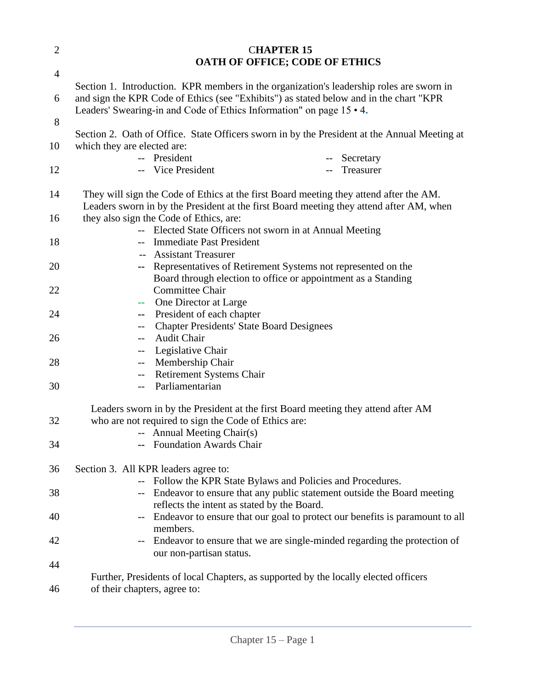| $\mathfrak{2}$ | <b>CHAPTER 15</b>                                                                                                                  |
|----------------|------------------------------------------------------------------------------------------------------------------------------------|
|                | <b>OATH OF OFFICE; CODE OF ETHICS</b>                                                                                              |
| $\overline{4}$ |                                                                                                                                    |
|                | Section 1. Introduction. KPR members in the organization's leadership roles are sworn in                                           |
| 6              | and sign the KPR Code of Ethics (see "Exhibits") as stated below and in the chart "KPR                                             |
| 8              | Leaders' Swearing-in and Code of Ethics Information" on page 15 • 4.                                                               |
|                | Section 2. Oath of Office. State Officers sworn in by the President at the Annual Meeting at                                       |
| 10             | which they are elected are:                                                                                                        |
|                | -- President<br>Secretary                                                                                                          |
| 12             | -- Vice President<br>Treasurer                                                                                                     |
|                |                                                                                                                                    |
| 14             | They will sign the Code of Ethics at the first Board meeting they attend after the AM.                                             |
| 16             | Leaders sworn in by the President at the first Board meeting they attend after AM, when<br>they also sign the Code of Ethics, are: |
|                | -- Elected State Officers not sworn in at Annual Meeting                                                                           |
| 18             | <b>Immediate Past President</b>                                                                                                    |
|                | <b>Assistant Treasurer</b>                                                                                                         |
| 20             | -- Representatives of Retirement Systems not represented on the                                                                    |
|                | Board through election to office or appointment as a Standing                                                                      |
| 22             | <b>Committee Chair</b><br>-- One Director at Large                                                                                 |
| 24             | President of each chapter<br>$\sim$ $\sim$                                                                                         |
|                | <b>Chapter Presidents' State Board Designees</b><br>$- -$                                                                          |
| 26             | <b>Audit Chair</b><br>$--$                                                                                                         |
|                | Legislative Chair<br>$\overline{\phantom{a}}$                                                                                      |
| 28             | Membership Chair<br>$\overline{\phantom{a}}$                                                                                       |
|                | Retirement Systems Chair<br>$\overline{\phantom{a}}$                                                                               |
| 30             | Parliamentarian<br>$-$                                                                                                             |
|                | Leaders sworn in by the President at the first Board meeting they attend after AM                                                  |
| 32             | who are not required to sign the Code of Ethics are:                                                                               |
|                | -- Annual Meeting Chair(s)                                                                                                         |
| 34             | <b>Foundation Awards Chair</b>                                                                                                     |
| 36             | Section 3. All KPR leaders agree to:                                                                                               |
|                | Follow the KPR State Bylaws and Policies and Procedures.                                                                           |
| 38             | Endeavor to ensure that any public statement outside the Board meeting                                                             |
|                | reflects the intent as stated by the Board.                                                                                        |
| 40             | Endeavor to ensure that our goal to protect our benefits is paramount to all                                                       |
|                | members.                                                                                                                           |
| 42             | Endeavor to ensure that we are single-minded regarding the protection of<br>$\overline{\phantom{m}}$                               |
| 44             | our non-partisan status.                                                                                                           |
|                | Further, Presidents of local Chapters, as supported by the locally elected officers                                                |
| 46             | of their chapters, agree to:                                                                                                       |
|                |                                                                                                                                    |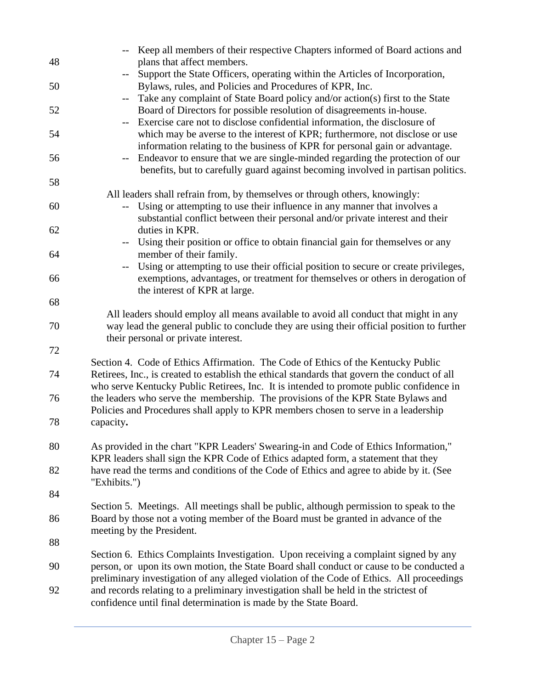|    | -- Keep all members of their respective Chapters informed of Board actions and                                 |
|----|----------------------------------------------------------------------------------------------------------------|
| 48 | plans that affect members.                                                                                     |
|    | Support the State Officers, operating within the Articles of Incorporation,                                    |
| 50 | Bylaws, rules, and Policies and Procedures of KPR, Inc.                                                        |
|    | Take any complaint of State Board policy and/or action(s) first to the State<br>$\overline{\phantom{m}}$       |
| 52 | Board of Directors for possible resolution of disagreements in-house.                                          |
|    | Exercise care not to disclose confidential information, the disclosure of                                      |
| 54 | which may be averse to the interest of KPR; furthermore, not disclose or use                                   |
|    | information relating to the business of KPR for personal gain or advantage.                                    |
| 56 | Endeavor to ensure that we are single-minded regarding the protection of our<br>$\overline{\phantom{a}}$       |
|    |                                                                                                                |
|    | benefits, but to carefully guard against becoming involved in partisan politics.                               |
| 58 |                                                                                                                |
|    | All leaders shall refrain from, by themselves or through others, knowingly:                                    |
| 60 | -- Using or attempting to use their influence in any manner that involves a                                    |
|    | substantial conflict between their personal and/or private interest and their                                  |
| 62 | duties in KPR.                                                                                                 |
|    | Using their position or office to obtain financial gain for themselves or any<br>$- -$                         |
| 64 | member of their family.                                                                                        |
|    | Using or attempting to use their official position to secure or create privileges,<br>$\overline{\phantom{a}}$ |
| 66 | exemptions, advantages, or treatment for themselves or others in derogation of                                 |
|    | the interest of KPR at large.                                                                                  |
| 68 |                                                                                                                |
|    | All leaders should employ all means available to avoid all conduct that might in any                           |
| 70 | way lead the general public to conclude they are using their official position to further                      |
|    | their personal or private interest.                                                                            |
| 72 |                                                                                                                |
|    | Section 4. Code of Ethics Affirmation. The Code of Ethics of the Kentucky Public                               |
| 74 | Retirees, Inc., is created to establish the ethical standards that govern the conduct of all                   |
|    | who serve Kentucky Public Retirees, Inc. It is intended to promote public confidence in                        |
| 76 | the leaders who serve the membership. The provisions of the KPR State Bylaws and                               |
|    | Policies and Procedures shall apply to KPR members chosen to serve in a leadership                             |
| 78 | capacity.                                                                                                      |
|    |                                                                                                                |
| 80 | As provided in the chart "KPR Leaders' Swearing-in and Code of Ethics Information,"                            |
|    | KPR leaders shall sign the KPR Code of Ethics adapted form, a statement that they                              |
| 82 | have read the terms and conditions of the Code of Ethics and agree to abide by it. (See                        |
|    | "Exhibits.")                                                                                                   |
| 84 |                                                                                                                |
|    | Section 5. Meetings. All meetings shall be public, although permission to speak to the                         |
| 86 | Board by those not a voting member of the Board must be granted in advance of the                              |
|    | meeting by the President.                                                                                      |
| 88 |                                                                                                                |
|    |                                                                                                                |
|    | Section 6. Ethics Complaints Investigation. Upon receiving a complaint signed by any                           |
| 90 | person, or upon its own motion, the State Board shall conduct or cause to be conducted a                       |
|    | preliminary investigation of any alleged violation of the Code of Ethics. All proceedings                      |
| 92 | and records relating to a preliminary investigation shall be held in the strictest of                          |
|    | confidence until final determination is made by the State Board.                                               |